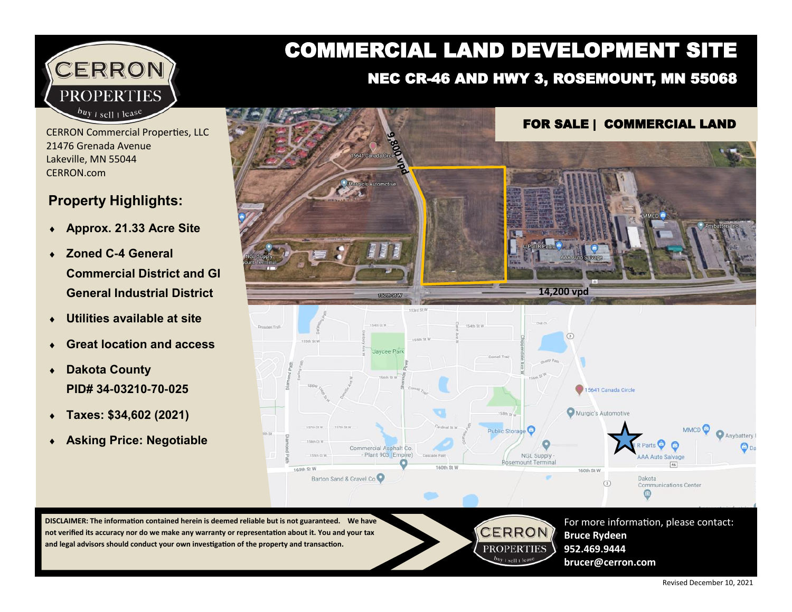

#### CERRON Commercial Properties, LLC 21476 Grenada Avenue Lakeville, MN 55044 CERRON.com

#### **Property Highlights:**

- **Approx. 21.33 Acre Site**
- **Zoned C-4 General Commercial District and GI General Industrial District**
- **Utilities available at site**
- **Great location and access**
- **Dakota County PID# 34-03210-70-025**
- **Taxes: \$34,602 (2021)**
- **Asking Price: Negotiable**

# COMMERCIAL LAND DEVELOPMENT SITE

### NEC CR-46 AND HWY 3, ROSEMOUNT, MN 55068



**DISCLAIMER: The information contained herein is deemed reliable but is not guaranteed. We have not verified its accuracy nor do we make any warranty or representation about it. You and your tax and legal advisors should conduct your own investigation of the property and transaction.**



**Bruce Rydeen 952.469.9444 brucer@cerron.com**